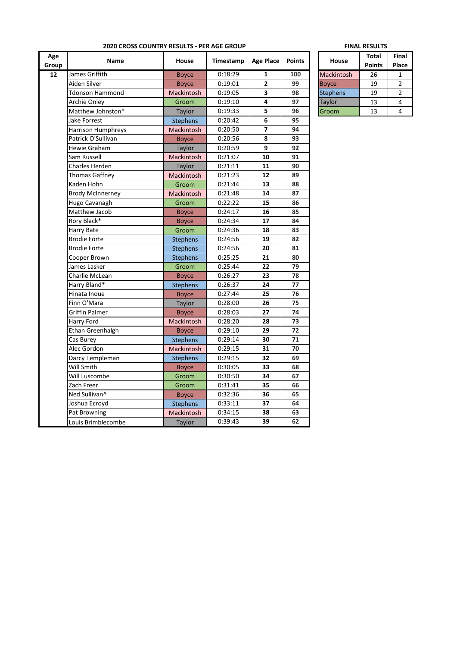| Age<br>Group | <b>Name</b>               | House             | Timestamp | Age Place    | <b>Points</b> | House             | <b>Total</b><br><b>Points</b> | Fin<br>Pla     |
|--------------|---------------------------|-------------------|-----------|--------------|---------------|-------------------|-------------------------------|----------------|
| 12           | James Griffith            | <b>Boyce</b>      | 0:18:29   | $\mathbf{1}$ | 100           | <b>Mackintosh</b> | 26                            | $\mathbf{1}$   |
|              | Aiden Silver              | <b>Boyce</b>      | 0:19:01   | $\mathbf{2}$ | 99            | <b>Boyce</b>      | 19                            | $\overline{a}$ |
|              | <b>Tdonson Hammond</b>    | Mackintosh        | 0:19:05   | 3            | 98            | <b>Stephens</b>   | 19                            | $\overline{2}$ |
|              | Archie Onley              | Groom             | 0:19:10   | 4            | 97            | Taylor            | 13                            | 4              |
|              | Matthew Johnston*         | Taylor            | 0:19:33   | 5            | 96            | Groom             | 13                            | 4              |
|              | Jake Forrest              | <b>Stephens</b>   | 0:20:42   | 6            | 95            |                   |                               |                |
|              | <b>Harrison Humphreys</b> | <b>Mackintosh</b> | 0:20:50   | 7            | 94            |                   |                               |                |
|              | Patrick O'Sullivan        | <b>Boyce</b>      | 0:20:56   | 8            | 93            |                   |                               |                |
|              | Hewie Graham              | Taylor            | 0:20:59   | 9            | 92            |                   |                               |                |
|              | Sam Russell               | Mackintosh        | 0:21:07   | 10           | 91            |                   |                               |                |
|              | Charles Herden            | Taylor            | 0:21:11   | 11           | 90            |                   |                               |                |
|              | <b>Thomas Gaffney</b>     | Mackintosh        | 0:21:23   | 12           | 89            |                   |                               |                |
|              | Kaden Hohn                | Groom             | 0:21:44   | 13           | 88            |                   |                               |                |
|              | <b>Brody McInnerney</b>   | <b>Mackintosh</b> | 0:21:48   | 14           | 87            |                   |                               |                |
|              | Hugo Cavanagh             | Groom             | 0:22:22   | 15           | 86            |                   |                               |                |
|              | Matthew Jacob             | <b>Boyce</b>      | 0:24:17   | 16           | 85            |                   |                               |                |
|              | Rory Black*               | <b>Boyce</b>      | 0:24:34   | 17           | 84            |                   |                               |                |
|              | Harry Bate                | Groom             | 0:24:36   | 18           | 83            |                   |                               |                |
|              | <b>Brodie Forte</b>       | <b>Stephens</b>   | 0:24:56   | 19           | 82            |                   |                               |                |
|              | <b>Brodie Forte</b>       | <b>Stephens</b>   | 0:24:56   | 20           | 81            |                   |                               |                |
|              | Cooper Brown              | <b>Stephens</b>   | 0:25:25   | 21           | 80            |                   |                               |                |
|              | James Lasker              | Groom             | 0:25:44   | 22           | 79            |                   |                               |                |
|              | Charlie McLean            | <b>Boyce</b>      | 0:26:27   | 23           | 78            |                   |                               |                |
|              | Harry Bland*              | <b>Stephens</b>   | 0:26:37   | 24           | 77            |                   |                               |                |
|              | Hinata Inoue              | <b>Boyce</b>      | 0:27:44   | 25           | 76            |                   |                               |                |
|              | Finn O'Mara               | Taylor            | 0:28:00   | 26           | 75            |                   |                               |                |
|              | <b>Griffin Palmer</b>     | <b>Boyce</b>      | 0:28:03   | 27           | 74            |                   |                               |                |
|              | Harry Ford                | Mackintosh        | 0:28:20   | 28           | 73            |                   |                               |                |
|              | Ethan Greenhalgh          | <b>Boyce</b>      | 0:29:10   | 29           | 72            |                   |                               |                |
|              | Cas Burey                 | <b>Stephens</b>   | 0:29:14   | 30           | 71            |                   |                               |                |
|              | Alec Gordon               | <b>Mackintosh</b> | 0:29:15   | 31           | 70            |                   |                               |                |
|              | Darcy Templeman           | <b>Stephens</b>   | 0:29:15   | 32           | 69            |                   |                               |                |
|              | Will Smith                | <b>Boyce</b>      | 0:30:05   | 33           | 68            |                   |                               |                |
|              | Will Luscombe             | Groom             | 0:30:50   | 34           | 67            |                   |                               |                |
|              | Zach Freer                | Groom             | 0:31:41   | 35           | 66            |                   |                               |                |
|              | Ned Sullivan^             | <b>Boyce</b>      | 0:32:36   | 36           | 65            |                   |                               |                |
|              | Joshua Ecroyd             | <b>Stephens</b>   | 0:33:11   | 37           | 64            |                   |                               |                |
|              | Pat Browning              | Mackintosh        | 0:34:15   | 38           | 63            |                   |                               |                |
|              | Louis Brimblecombe        | Taylor            | 0:39:43   | 39           | 62            |                   |                               |                |

## **2020 CROSS COUNTRY RESULTS - PER AGE GROUP FINAL RESULTS**

|                   | <b>Total</b>  | Final |
|-------------------|---------------|-------|
| House             | <b>Points</b> | Place |
| <b>Mackintosh</b> | 26            |       |
| Boyce             | 19            | 2     |
| <b>Stephens</b>   | 19            | 2     |
| Taylor            | 13            |       |
| Groom             | 13            |       |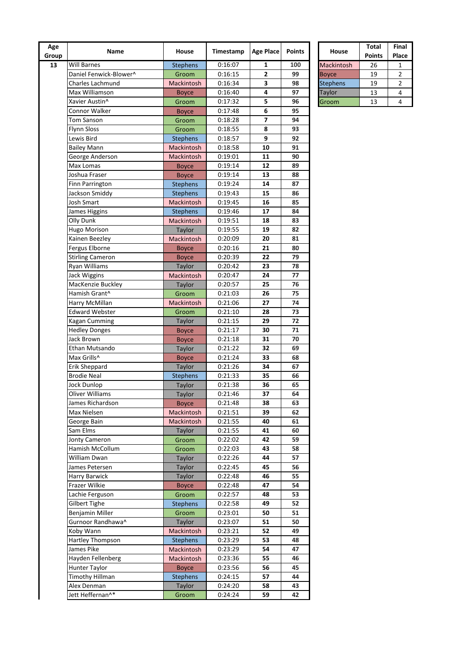| Age<br>Group | Name                         | House           | Timestamp | <b>Age Place</b>         | <b>Points</b> | House           | Total<br><b>Points</b> | Fin<br>Pla              |
|--------------|------------------------------|-----------------|-----------|--------------------------|---------------|-----------------|------------------------|-------------------------|
| 13           | <b>Will Barnes</b>           | <b>Stephens</b> | 0:16:07   | 1                        | 100           | Mackintosh      | 26                     | 1                       |
|              | Daniel Fenwick-Blower^       | Groom           | 0:16:15   | $\mathbf{2}$             | 99            | <b>Boyce</b>    | 19                     | $\overline{\mathbf{c}}$ |
|              | <b>Charles Lachmund</b>      | Mackintosh      | 0:16:34   | 3                        | 98            | <b>Stephens</b> | 19                     | 2                       |
|              | Max Williamson               | <b>Boyce</b>    | 0:16:40   | 4                        | 97            | <b>Taylor</b>   | 13                     | 4                       |
|              | Xavier Austin^               | Groom           | 0:17:32   | 5                        | 96            | Groom           | 13                     | 4                       |
|              | Connor Walker                | <b>Boyce</b>    | 0:17:48   | 6                        | 95            |                 |                        |                         |
|              | Tom Sanson                   | Groom           | 0:18:28   | $\overline{\phantom{a}}$ | 94            |                 |                        |                         |
|              | <b>Flynn Sloss</b>           | Groom           | 0:18:55   | 8                        | 93            |                 |                        |                         |
|              | Lewis Bird                   | <b>Stephens</b> | 0:18:57   | 9                        | 92            |                 |                        |                         |
|              | <b>Bailey Mann</b>           | Mackintosh      | 0:18:58   | 10                       | 91            |                 |                        |                         |
|              |                              | Mackintosh      | 0:19:01   | 11                       | 90            |                 |                        |                         |
|              | George Anderson<br>Max Lomas |                 | 0:19:14   | 12                       | 89            |                 |                        |                         |
|              |                              | <b>Boyce</b>    |           | 13                       | 88            |                 |                        |                         |
|              | Joshua Fraser                | <b>Boyce</b>    | 0:19:14   |                          |               |                 |                        |                         |
|              | Finn Parrington              | <b>Stephens</b> | 0:19:24   | 14                       | 87            |                 |                        |                         |
|              | Jackson Smiddy               | <b>Stephens</b> | 0:19:43   | 15                       | 86            |                 |                        |                         |
|              | <b>Josh Smart</b>            | Mackintosh      | 0:19:45   | 16                       | 85            |                 |                        |                         |
|              | James Higgins                | <b>Stephens</b> | 0:19:46   | 17                       | 84            |                 |                        |                         |
|              | Olly Dunk                    | Mackintosh      | 0:19:51   | 18                       | 83            |                 |                        |                         |
|              | Hugo Morison                 | Taylor          | 0:19:55   | 19                       | 82            |                 |                        |                         |
|              | Kainen Beezley               | Mackintosh      | 0:20:09   | 20                       | 81            |                 |                        |                         |
|              | Fergus Elborne               | <b>Boyce</b>    | 0:20:16   | 21                       | 80            |                 |                        |                         |
|              | <b>Stirling Cameron</b>      | <b>Boyce</b>    | 0:20:39   | 22                       | 79            |                 |                        |                         |
|              | Ryan Williams                | <b>Taylor</b>   | 0:20:42   | 23                       | 78            |                 |                        |                         |
|              | Jack Wiggins                 | Mackintosh      | 0:20:47   | 24                       | 77            |                 |                        |                         |
|              | MacKenzie Buckley            | Taylor          | 0:20:57   | 25                       | 76            |                 |                        |                         |
|              | Hamish Grant^                | Groom           | 0:21:03   | 26                       | 75            |                 |                        |                         |
|              | Harry McMillan               | Mackintosh      | 0:21:06   | 27                       | 74            |                 |                        |                         |
|              | <b>Edward Webster</b>        | Groom           | 0:21:10   | 28                       | 73            |                 |                        |                         |
|              | <b>Kagan Cumming</b>         | Taylor          | 0:21:15   | 29                       | 72            |                 |                        |                         |
|              | <b>Hedley Donges</b>         | <b>Boyce</b>    | 0:21:17   | 30                       | 71            |                 |                        |                         |
|              | Jack Brown                   | <b>Boyce</b>    | 0:21:18   | 31                       | 70            |                 |                        |                         |
|              | Ethan Mutsando               | Taylor          | 0:21:22   | 32                       | 69            |                 |                        |                         |
|              | Max Grills^                  | <b>Boyce</b>    | 0:21:24   | 33                       | 68            |                 |                        |                         |
|              | Erik Sheppard                | Taylor          | 0:21:26   | 34                       | 67            |                 |                        |                         |
|              | <b>Brodie Neal</b>           | <b>Stephens</b> | 0:21:33   | 35                       | 66            |                 |                        |                         |
|              | Jock Dunlop                  | Taylor          | 0:21:38   | 36                       | 65            |                 |                        |                         |
|              | <b>Oliver Williams</b>       | <b>Taylor</b>   | 0:21:46   | 37                       | 64            |                 |                        |                         |
|              | James Richardson             | <b>Boyce</b>    | 0:21:48   | 38                       | 63            |                 |                        |                         |
|              | Max Nielsen                  | Mackintosh      | 0:21:51   | 39                       | 62            |                 |                        |                         |
|              | George Bain                  | Mackintosh      |           | 40                       | 61            |                 |                        |                         |
|              |                              |                 | 0:21:55   |                          |               |                 |                        |                         |
|              | Sam Elms                     | Taylor          | 0:21:55   | 41                       | 60            |                 |                        |                         |
|              | Jonty Cameron                | Groom           | 0:22:02   | 42                       | 59            |                 |                        |                         |
|              | Hamish McCollum              | Groom           | 0:22:03   | 43                       | 58            |                 |                        |                         |
|              | William Dwan                 | Taylor          | 0:22:26   | 44                       | 57            |                 |                        |                         |
|              | James Petersen               | <b>Taylor</b>   | 0:22:45   | 45                       | 56            |                 |                        |                         |
|              | Harry Barwick                | Taylor          | 0:22:48   | 46                       | 55            |                 |                        |                         |
|              | Frazer Wilkie                | <b>Boyce</b>    | 0:22:48   | 47                       | 54            |                 |                        |                         |
|              | Lachie Ferguson              | Groom           | 0:22:57   | 48                       | 53            |                 |                        |                         |
|              | <b>Gilbert Tighe</b>         | Stephens        | 0:22:58   | 49                       | 52            |                 |                        |                         |
|              | Benjamin Miller              | Groom           | 0:23:01   | 50                       | 51            |                 |                        |                         |
|              | Gurnoor Randhawa^            | Taylor          | 0:23:07   | 51                       | 50            |                 |                        |                         |
|              | Koby Wann                    | Mackintosh      | 0:23:21   | 52                       | 49            |                 |                        |                         |
|              | Hartley Thompson             | <b>Stephens</b> | 0:23:29   | 53                       | 48            |                 |                        |                         |
|              | James Pike                   | Mackintosh      | 0:23:29   | 54                       | 47            |                 |                        |                         |
|              | Hayden Fellenberg            | Mackintosh      | 0:23:36   | 55                       | 46            |                 |                        |                         |
|              | Hunter Taylor                | <b>Boyce</b>    | 0:23:56   | 56                       | 45            |                 |                        |                         |
|              | <b>Timothy Hillman</b>       | <b>Stephens</b> | 0:24:15   | 57                       | 44            |                 |                        |                         |
|              | Alex Denman                  | <b>Taylor</b>   | 0:24:20   | 58                       | 43            |                 |                        |                         |
|              | Jett Heffernan^*             | Groom           | 0:24:24   | 59                       | 42            |                 |                        |                         |

|                 | <b>Total</b>  | Final |
|-----------------|---------------|-------|
| <b>House</b>    | <b>Points</b> | Place |
| Mackintosh      | 26            |       |
| <b>Boyce</b>    | 19            | 2     |
| <b>Stephens</b> | 19            | 2     |
| Taylor          | 13            | 4     |
| Groom           | 13            |       |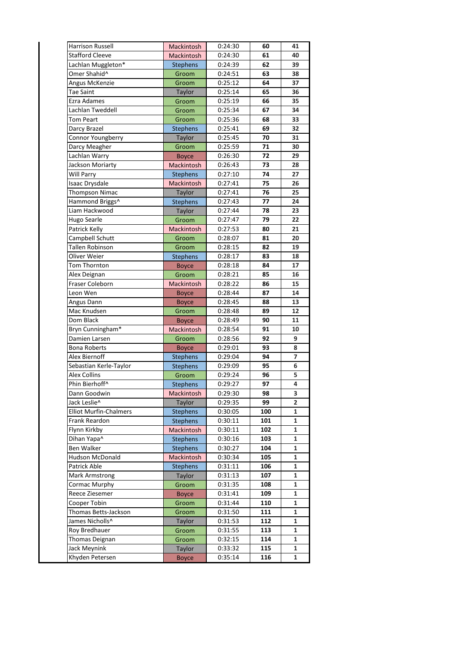| <b>Harrison Russell</b>       | Mackintosh      | 0:24:30 | 60  | 41 |
|-------------------------------|-----------------|---------|-----|----|
| <b>Stafford Cleeve</b>        | Mackintosh      | 0:24:30 | 61  | 40 |
| Lachlan Muggleton*            | <b>Stephens</b> | 0:24:39 | 62  | 39 |
| Omer Shahid^                  | Groom           | 0:24:51 | 63  | 38 |
| Angus McKenzie                | Groom           | 0:25:12 | 64  | 37 |
| <b>Tae Saint</b>              | Taylor          | 0:25:14 | 65  | 36 |
| Ezra Adames                   | Groom           | 0:25:19 | 66  | 35 |
| Lachlan Tweddell              | Groom           | 0:25:34 | 67  | 34 |
| Tom Peart                     | Groom           | 0:25:36 | 68  | 33 |
| Darcy Brazel                  | <b>Stephens</b> | 0:25:41 | 69  | 32 |
| Connor Youngberry             | Taylor          | 0:25:45 | 70  | 31 |
| Darcy Meagher                 | Groom           | 0:25:59 | 71  | 30 |
| Lachlan Warry                 | <b>Boyce</b>    | 0:26:30 | 72  | 29 |
| Jackson Moriarty              | Mackintosh      | 0:26:43 | 73  | 28 |
| Will Parry                    | <b>Stephens</b> | 0:27:10 | 74  | 27 |
| <b>Isaac Drysdale</b>         | Mackintosh      | 0:27:41 | 75  | 26 |
| <b>Thompson Nimac</b>         | Taylor          | 0:27:41 | 76  | 25 |
| Hammond Briggs^               | <b>Stephens</b> | 0:27:43 | 77  | 24 |
| Liam Hackwood                 | Taylor          | 0:27:44 | 78  | 23 |
| Hugo Searle                   | Groom           | 0:27:47 | 79  | 22 |
| Patrick Kelly                 | Mackintosh      | 0:27:53 | 80  | 21 |
| Campbell Schutt               | Groom           | 0:28:07 | 81  | 20 |
| Tallen Robinson               | Groom           | 0:28:15 | 82  | 19 |
| Oliver Weier                  | <b>Stephens</b> | 0:28:17 | 83  | 18 |
| Tom Thornton                  | <b>Boyce</b>    | 0:28:18 | 84  | 17 |
| Alex Deignan                  | Groom           | 0:28:21 | 85  | 16 |
| Fraser Coleborn               | Mackintosh      | 0:28:22 | 86  | 15 |
| Leon Wen                      | <b>Boyce</b>    | 0:28:44 | 87  | 14 |
| Angus Dann                    | <b>Boyce</b>    | 0:28:45 | 88  | 13 |
| Mac Knudsen                   | Groom           | 0:28:48 | 89  | 12 |
| Dom Black                     | <b>Boyce</b>    | 0:28:49 | 90  | 11 |
| Bryn Cunningham*              | Mackintosh      | 0:28:54 | 91  | 10 |
| Damien Larsen                 | Groom           | 0:28:56 | 92  | 9  |
| <b>Bona Roberts</b>           | <b>Boyce</b>    | 0:29:01 | 93  | 8  |
| Alex Biernoff                 | <b>Stephens</b> | 0:29:04 | 94  | 7  |
| Sebastian Kerle-Taylor        | <b>Stephens</b> | 0:29:09 | 95  | 6  |
| <b>Alex Collins</b>           | Groom           | 0:29:24 | 96  | 5  |
| Phin Bierhoff^                | Stephens        | 0:29:27 | 97  | 4  |
| Dann Goodwin                  | Mackintosh      | 0:29:30 | 98  | 3  |
| Jack Leslie^                  | Taylor          | 0:29:35 | 99  | 2  |
| <b>Elliot Murfin-Chalmers</b> | <b>Stephens</b> | 0:30:05 | 100 | 1  |
| Frank Reardon                 | <b>Stephens</b> | 0:30:11 | 101 | 1  |
| Flynn Kirkby                  | Mackintosh      | 0:30:11 | 102 | 1  |
| Dihan Yapa^                   | <b>Stephens</b> | 0:30:16 | 103 | 1  |
| Ben Walker                    | <b>Stephens</b> | 0:30:27 | 104 | 1  |
| Hudson McDonald               | Mackintosh      | 0:30:34 | 105 | 1  |
| Patrick Able                  | <b>Stephens</b> | 0:31:11 | 106 | 1  |
| Mark Armstrong                | Taylor          | 0:31:13 | 107 | 1  |
| Cormac Murphy                 | Groom           | 0:31:35 | 108 | 1  |
| Reece Ziesemer                | <b>Boyce</b>    | 0:31:41 | 109 | 1  |
| Cooper Tobin                  | Groom           | 0:31:44 | 110 | 1  |
| Thomas Betts-Jackson          | Groom           | 0:31:50 | 111 | 1  |
| James Nicholls^               | Taylor          | 0:31:53 | 112 | 1  |
| Roy Bredhauer                 | Groom           | 0:31:55 | 113 | 1  |
| Thomas Deignan                | Groom           | 0:32:15 | 114 | 1  |
| Jack Meynink                  | Taylor          | 0:33:32 | 115 | 1  |
| Khyden Petersen               | <b>Boyce</b>    | 0:35:14 | 116 | 1  |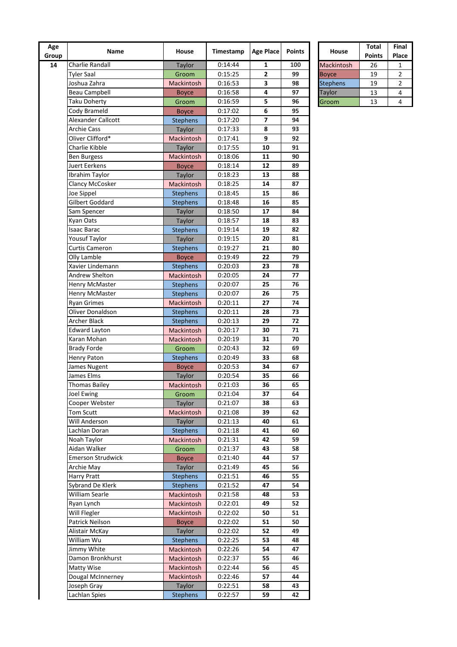| Age<br>Group | Name                     | House                | Timestamp | <b>Age Place</b> | <b>Points</b> | House           | Total<br><b>Points</b> | Fin<br>Pla |
|--------------|--------------------------|----------------------|-----------|------------------|---------------|-----------------|------------------------|------------|
| 14           | <b>Charlie Randall</b>   | Taylor               | 0:14:44   | 1                | 100           | Mackintosh      | 26                     | 1          |
|              | <b>Tyler Saal</b>        | Groom                | 0:15:25   | 2                | 99            | <b>Boyce</b>    | 19                     | 2          |
|              | Joshua Zahra             | Mackintosh           | 0:16:53   | 3                | 98            | <b>Stephens</b> | 19                     | 2          |
|              | <b>Beau Campbell</b>     | <b>Boyce</b>         | 0:16:58   | 4                | 97            | Taylor          | 13                     | 4          |
|              | Taku Doherty             | Groom                | 0:16:59   | 5                | 96            | Groom           | 13                     | 4          |
|              | Cody Brameld             | <b>Boyce</b>         | 0:17:02   | 6                | 95            |                 |                        |            |
|              | Alexander Callcott       | <b>Stephens</b>      | 0:17:20   | 7                | 94            |                 |                        |            |
|              | <b>Archie Cass</b>       | Taylor               | 0:17:33   | 8                | 93            |                 |                        |            |
|              | Oliver Clifford*         | Mackintosh           | 0:17:41   | 9                | 92            |                 |                        |            |
|              | Charlie Kibble           |                      | 0:17:55   | 10               | 91            |                 |                        |            |
|              | <b>Ben Burgess</b>       | Taylor<br>Mackintosh | 0:18:06   | 11               | 90            |                 |                        |            |
|              | Juert Eerkens            | <b>Boyce</b>         | 0:18:14   | 12               | 89            |                 |                        |            |
|              | Ibrahim Taylor           |                      | 0:18:23   | 13               | 88            |                 |                        |            |
|              |                          | Taylor               | 0:18:25   | 14               | 87            |                 |                        |            |
|              | Clancy McCosker          | Mackintosh           |           | 15               | 86            |                 |                        |            |
|              | Joe Sippel               | <b>Stephens</b>      | 0:18:45   |                  |               |                 |                        |            |
|              | Gilbert Goddard          | <b>Stephens</b>      | 0:18:48   | 16               | 85            |                 |                        |            |
|              | Sam Spencer              | Taylor               | 0:18:50   | 17               | 84            |                 |                        |            |
|              | Kyan Oats                | Taylor               | 0:18:57   | 18               | 83            |                 |                        |            |
|              | <b>Isaac Barac</b>       | <b>Stephens</b>      | 0:19:14   | 19               | 82            |                 |                        |            |
|              | Yousuf Taylor            | Taylor               | 0:19:15   | 20               | 81            |                 |                        |            |
|              | Curtis Cameron           | <b>Stephens</b>      | 0:19:27   | 21               | 80            |                 |                        |            |
|              | Olly Lamble              | <b>Boyce</b>         | 0:19:49   | 22               | 79            |                 |                        |            |
|              | Xavier Lindemann         | <b>Stephens</b>      | 0:20:03   | 23               | 78            |                 |                        |            |
|              | Andrew Shelton           | Mackintosh           | 0:20:05   | 24               | 77            |                 |                        |            |
|              | <b>Henry McMaster</b>    | <b>Stephens</b>      | 0:20:07   | 25               | 76            |                 |                        |            |
|              | <b>Henry McMaster</b>    | <b>Stephens</b>      | 0:20:07   | 26               | 75            |                 |                        |            |
|              | <b>Ryan Grimes</b>       | Mackintosh           | 0:20:11   | 27               | 74            |                 |                        |            |
|              | Oliver Donaldson         | <b>Stephens</b>      | 0:20:11   | 28               | 73            |                 |                        |            |
|              | Archer Black             | <b>Stephens</b>      | 0:20:13   | 29               | 72            |                 |                        |            |
|              | <b>Edward Layton</b>     | Mackintosh           | 0:20:17   | 30               | 71            |                 |                        |            |
|              | Karan Mohan              | <b>Mackintosh</b>    | 0:20:19   | 31               | 70            |                 |                        |            |
|              | <b>Brady Forde</b>       | Groom                | 0:20:43   | 32               | 69            |                 |                        |            |
|              | Henry Paton              | <b>Stephens</b>      | 0:20:49   | 33               | 68            |                 |                        |            |
|              | James Nugent             | <b>Boyce</b>         | 0:20:53   | 34               | 67            |                 |                        |            |
|              | James Elms               | Taylor               | 0:20:54   | 35               | 66            |                 |                        |            |
|              | <b>Thomas Bailey</b>     | Mackintosh           | 0:21:03   | 36               | 65            |                 |                        |            |
|              | Joel Ewing               | Groom                | 0:21:04   | 37               | 64            |                 |                        |            |
|              | Cooper Webster           | Taylor               | 0:21:07   | 38               | 63            |                 |                        |            |
|              | Tom Scutt                | Mackintosh           | 0:21:08   | 39               | 62            |                 |                        |            |
|              | Will Anderson            | Taylor               | 0:21:13   | 40               | 61            |                 |                        |            |
|              | Lachlan Doran            | <b>Stephens</b>      | 0:21:18   | 41               | 60            |                 |                        |            |
|              | Noah Taylor              | Mackintosh           | 0:21:31   | 42               | 59            |                 |                        |            |
|              | Aidan Walker             |                      | 0:21:37   | 43               | 58            |                 |                        |            |
|              | <b>Emerson Strudwick</b> | Groom                |           | 44               | 57            |                 |                        |            |
|              |                          | <b>Boyce</b>         | 0:21:40   |                  |               |                 |                        |            |
|              | Archie May               | Taylor               | 0:21:49   | 45               | 56            |                 |                        |            |
|              | <b>Harry Pratt</b>       | <b>Stephens</b>      | 0:21:51   | 46               | 55            |                 |                        |            |
|              | Sybrand De Klerk         | <b>Stephens</b>      | 0:21:52   | 47               | 54            |                 |                        |            |
|              | William Searle           | Mackintosh           | 0:21:58   | 48               | 53            |                 |                        |            |
|              | Ryan Lynch               | Mackintosh           | 0:22:01   | 49               | 52            |                 |                        |            |
|              | Will Flegler             | Mackintosh           | 0:22:02   | 50               | 51            |                 |                        |            |
|              | Patrick Neilson          | <b>Boyce</b>         | 0:22:02   | 51               | 50            |                 |                        |            |
|              | Alistair McKay           | Taylor               | 0:22:02   | 52               | 49            |                 |                        |            |
|              | William Wu               | <b>Stephens</b>      | 0:22:25   | 53               | 48            |                 |                        |            |
|              | Jimmy White              | Mackintosh           | 0:22:26   | 54               | 47            |                 |                        |            |
|              | Damon Bronkhurst         | Mackintosh           | 0:22:37   | 55               | 46            |                 |                        |            |
|              | Matty Wise               | Mackintosh           | 0:22:44   | 56               | 45            |                 |                        |            |
|              | Dougal McInnerney        | Mackintosh           | 0:22:46   | 57               | 44            |                 |                        |            |
|              | Joseph Gray              | <b>Taylor</b>        | 0:22:51   | 58               | 43            |                 |                        |            |
|              | Lachlan Spies            | <b>Stephens</b>      | 0:22:57   | 59               | 42            |                 |                        |            |

|                   | <b>Total</b>  | Final |
|-------------------|---------------|-------|
| House             | <b>Points</b> | Place |
| <b>Mackintosh</b> | 26            |       |
| <b>Boyce</b>      | 19            | 2     |
| <b>Stephens</b>   | 19            | 2     |
| <b>Taylor</b>     | 13            | 4     |
| Groom             | 13            |       |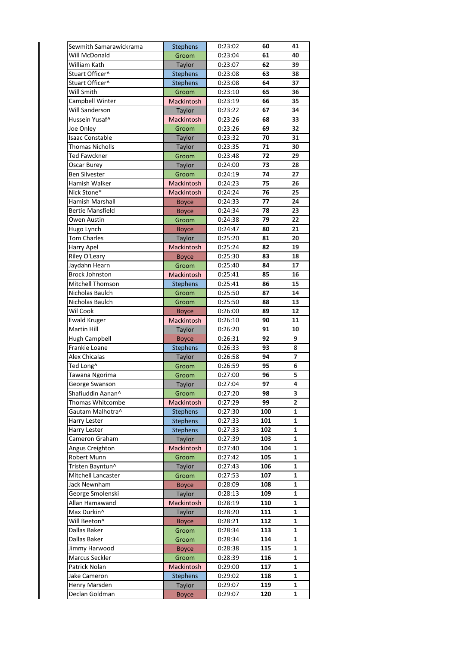| Sewmith Samarawickrama  | <b>Stephens</b>   | 0:23:02 | 60  | 41 |
|-------------------------|-------------------|---------|-----|----|
|                         |                   |         |     |    |
| Will McDonald           | Groom             | 0:23:04 | 61  | 40 |
| William Kath            | Taylor            | 0:23:07 | 62  | 39 |
| Stuart Officer^         | <b>Stephens</b>   | 0:23:08 | 63  | 38 |
| Stuart Officer^         | <b>Stephens</b>   | 0:23:08 | 64  | 37 |
| Will Smith              | Groom             | 0:23:10 | 65  | 36 |
| Campbell Winter         | Mackintosh        | 0:23:19 | 66  | 35 |
| Will Sanderson          | Taylor            | 0:23:22 | 67  | 34 |
| Hussein Yusaf^          | Mackintosh        | 0:23:26 | 68  | 33 |
|                         |                   |         |     |    |
| Joe Onley               | Groom             | 0:23:26 | 69  | 32 |
| Isaac Constable         | Taylor            | 0:23:32 | 70  | 31 |
| <b>Thomas Nicholls</b>  | Taylor            | 0:23:35 | 71  | 30 |
| <b>Ted Fawckner</b>     | Groom             | 0:23:48 | 72  | 29 |
| <b>Oscar Burey</b>      | Taylor            | 0:24:00 | 73  | 28 |
| <b>Ben Silvester</b>    | Groom             | 0:24:19 | 74  | 27 |
| Hamish Walker           | Mackintosh        | 0:24:23 | 75  | 26 |
| Nick Stone*             | Mackintosh        | 0:24:24 | 76  | 25 |
| <b>Hamish Marshall</b>  |                   | 0:24:33 | 77  | 24 |
|                         | <b>Boyce</b>      |         |     |    |
| <b>Bertie Mansfield</b> | <b>Boyce</b>      | 0:24:34 | 78  | 23 |
| Owen Austin             | Groom             | 0:24:38 | 79  | 22 |
| Hugo Lynch              | <b>Boyce</b>      | 0:24:47 | 80  | 21 |
| <b>Tom Charles</b>      | Taylor            | 0:25:20 | 81  | 20 |
| Harry Apel              | Mackintosh        | 0:25:24 | 82  | 19 |
| Riley O'Leary           | <b>Boyce</b>      | 0:25:30 | 83  | 18 |
| Jaydahn Hearn           | Groom             | 0:25:40 | 84  | 17 |
| <b>Brock Johnston</b>   | Mackintosh        | 0:25:41 | 85  | 16 |
| Mitchell Thomson        |                   | 0:25:41 | 86  | 15 |
|                         | <b>Stephens</b>   |         |     |    |
| Nicholas Baulch         | Groom             | 0:25:50 | 87  | 14 |
| Nicholas Baulch         | Groom             | 0:25:50 | 88  | 13 |
| Wil Cook                | <b>Boyce</b>      | 0:26:00 | 89  | 12 |
| <b>Ewald Kruger</b>     | <b>Mackintosh</b> | 0:26:10 | 90  | 11 |
| Martin Hill             | Taylor            | 0:26:20 | 91  | 10 |
| <b>Hugh Campbell</b>    | <b>Boyce</b>      | 0:26:31 | 92  | 9  |
| Frankie Loane           | Stephens          | 0:26:33 | 93  | 8  |
| Alex Chicalas           | Taylor            | 0:26:58 | 94  | 7  |
| Ted Long^               | Groom             | 0:26:59 | 95  | 6  |
| Tawana Ngorima          | Groom             | 0:27:00 | 96  | 5  |
| George Swanson          |                   | 0:27:04 | 97  | 4  |
|                         | <b>Taylor</b>     |         |     |    |
| Shafiuddin Aanan^       | Groom             | 0:27:20 | 98  | 3  |
| Thomas Whitcombe        | Mackintosh        | 0:27:29 | 99  | 2  |
| Gautam Malhotra^        | Stephens          | 0:27:30 | 100 | 1  |
| Harry Lester            | <b>Stephens</b>   | 0:27:33 | 101 | 1  |
| Harry Lester            | <b>Stephens</b>   | 0:27:33 | 102 | 1  |
| Cameron Graham          | Taylor            | 0:27:39 | 103 | 1  |
| Angus Creighton         | Mackintosh        | 0:27:40 | 104 | 1  |
| Robert Munn             | Groom             | 0:27:42 | 105 | 1  |
| Tristen Bayntun^        | Taylor            | 0:27:43 | 106 | 1  |
| Mitchell Lancaster      | Groom             | 0:27:53 | 107 | 1  |
|                         |                   |         |     |    |
| Jack Newnham            | <b>Boyce</b>      | 0:28:09 | 108 | 1  |
| George Smolenski        | Taylor            | 0:28:13 | 109 | 1  |
| Allan Hamawand          | Mackintosh        | 0:28:19 | 110 | 1  |
| Max Durkin^             | Taylor            | 0:28:20 | 111 | 1  |
| Will Beeton^            | <b>Boyce</b>      | 0:28:21 | 112 | 1  |
| Dallas Baker            | Groom             | 0:28:34 | 113 | 1  |
| Dallas Baker            | Groom             | 0:28:34 | 114 | 1  |
| Jimmy Harwood           | <b>Boyce</b>      | 0:28:38 | 115 | 1  |
| Marcus Seckler          | Groom             | 0:28:39 | 116 | 1  |
| Patrick Nolan           | Mackintosh        | 0:29:00 | 117 | 1  |
| Jake Cameron            |                   | 0:29:02 | 118 | 1  |
|                         | <b>Stephens</b>   |         |     |    |
| Henry Marsden           | Taylor            | 0:29:07 | 119 | 1  |
| Declan Goldman          | <b>Boyce</b>      | 0:29:07 | 120 | 1  |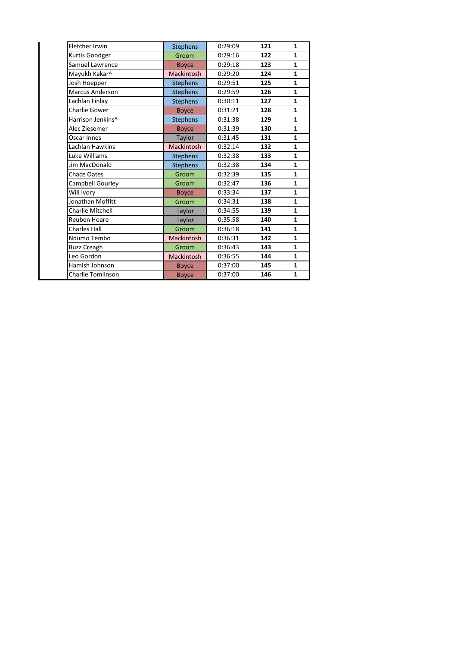| Stephens          | 0:29:09 | 121 | $\mathbf{1}$ |
|-------------------|---------|-----|--------------|
| Groom             | 0:29:16 | 122 | $\mathbf{1}$ |
| <b>Boyce</b>      | 0:29:18 | 123 | $\mathbf{1}$ |
| <b>Mackintosh</b> | 0:29:20 | 124 | $\mathbf{1}$ |
| <b>Stephens</b>   | 0:29:51 | 125 | $\mathbf{1}$ |
| <b>Stephens</b>   | 0:29:59 | 126 | $\mathbf{1}$ |
| <b>Stephens</b>   | 0:30:11 | 127 | $\mathbf{1}$ |
| <b>Boyce</b>      | 0:31:21 | 128 | $\mathbf{1}$ |
| <b>Stephens</b>   | 0:31:38 | 129 | $\mathbf{1}$ |
| <b>Boyce</b>      | 0:31:39 | 130 | $\mathbf{1}$ |
| Taylor            | 0:31:45 | 131 | $\mathbf{1}$ |
| <b>Mackintosh</b> | 0:32:14 | 132 | $\mathbf{1}$ |
| <b>Stephens</b>   | 0:32:38 | 133 | $\mathbf{1}$ |
| <b>Stephens</b>   | 0:32:38 | 134 | $\mathbf{1}$ |
| Groom             | 0:32:39 | 135 | $\mathbf{1}$ |
| Groom             | 0:32:47 | 136 | $\mathbf{1}$ |
| <b>Boyce</b>      | 0:33:34 | 137 | $\mathbf{1}$ |
| Groom             | 0:34:31 | 138 | $\mathbf{1}$ |
| Taylor            | 0:34:55 | 139 | $\mathbf{1}$ |
| Taylor            | 0:35:58 | 140 | $\mathbf{1}$ |
| Groom             | 0:36:18 | 141 | $\mathbf{1}$ |
| <b>Mackintosh</b> | 0:36:31 | 142 | $\mathbf{1}$ |
| Groom             | 0:36:43 | 143 | $\mathbf{1}$ |
| <b>Mackintosh</b> | 0:36:55 | 144 | $\mathbf{1}$ |
| <b>Boyce</b>      | 0:37:00 | 145 | $\mathbf{1}$ |
| <b>Boyce</b>      | 0:37:00 | 146 | $\mathbf{1}$ |
|                   |         |     |              |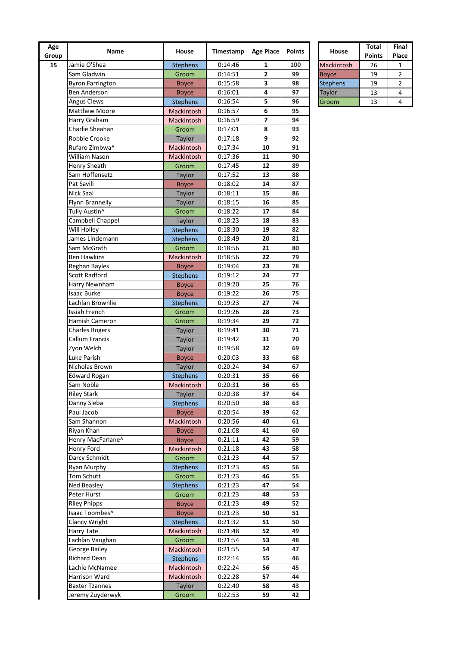| Age<br>Group | Name                              | House             | Timestamp          | <b>Age Place</b> | <b>Points</b> | House           | Total<br><b>Points</b> | Fin<br>Pla     |
|--------------|-----------------------------------|-------------------|--------------------|------------------|---------------|-----------------|------------------------|----------------|
| 15           | Jamie O'Shea                      | <b>Stephens</b>   | 0:14:46            | 1                | 100           | Mackintosh      | 26                     | 1              |
|              | Sam Gladwin                       | Groom             | 0:14:51            | 2                | 99            | <b>Boyce</b>    | 19                     | 2              |
|              | <b>Byron Farrington</b>           | <b>Boyce</b>      | 0:15:58            | 3                | 98            | <b>Stephens</b> | 19                     | $\overline{a}$ |
|              | <b>Ben Anderson</b>               | <b>Boyce</b>      | 0:16:01            | 4                | 97            | Taylor          | 13                     | 4              |
|              | Angus Clews                       | <b>Stephens</b>   | 0:16:54            | 5                | 96            | Groom           | 13                     | 4              |
|              | <b>Matthew Moore</b>              | Mackintosh        | 0:16:57            | 6                | 95            |                 |                        |                |
|              | Harry Graham                      | Mackintosh        | 0:16:59            | 7                | 94            |                 |                        |                |
|              | Charlie Sheahan                   | Groom             | 0:17:01            | 8                | 93            |                 |                        |                |
|              | Robbie Crooke                     | Taylor            | 0:17:18            | 9                | 92            |                 |                        |                |
|              | Rufaro Zimbwa^                    | Mackintosh        | 0:17:34            | 10               | 91            |                 |                        |                |
|              | William Nason                     | Mackintosh        | 0:17:36            | 11               | 90            |                 |                        |                |
|              | <b>Henry Sheath</b>               | Groom             | 0:17:45            | 12               | 89            |                 |                        |                |
|              | Sam Hoffensetz                    | Taylor            | 0:17:52            | 13               | 88            |                 |                        |                |
|              | Pat Savill                        | <b>Boyce</b>      | 0:18:02            | 14               | 87            |                 |                        |                |
|              | Nick Saal                         | Taylor            | 0:18:11            | 15               | 86            |                 |                        |                |
|              | Flynn Brannelly                   | Taylor            | 0:18:15            | 16               | 85            |                 |                        |                |
|              | Tully Austin^                     | Groom             | 0:18:22            | 17               | 84            |                 |                        |                |
|              | Campbell Chappel                  | Taylor            | 0:18:23            | 18               | 83            |                 |                        |                |
|              | Will Holley                       | <b>Stephens</b>   | 0:18:30            | 19               | 82            |                 |                        |                |
|              | James Lindemann                   | <b>Stephens</b>   | 0:18:49            | 20               | 81            |                 |                        |                |
|              | Sam McGrath                       | Groom             | 0:18:56            | 21               | 80            |                 |                        |                |
|              | <b>Ben Hawkins</b>                | <b>Mackintosh</b> | 0:18:56            | 22               | 79            |                 |                        |                |
|              | Reghan Bayles                     | <b>Boyce</b>      | 0:19:04            | 23               | 78            |                 |                        |                |
|              | <b>Scott Radford</b>              | <b>Stephens</b>   | 0:19:12            | 24               | 77            |                 |                        |                |
|              | Harry Newnham                     |                   | 0:19:20            | 25               | 76            |                 |                        |                |
|              | <b>Isaac Burke</b>                | <b>Boyce</b>      |                    | 26               | 75            |                 |                        |                |
|              |                                   | <b>Boyce</b>      | 0:19:22            |                  |               |                 |                        |                |
|              | Lachlan Brownlie<br>Issiah French | <b>Stephens</b>   | 0:19:23            | 27<br>28         | 74<br>73      |                 |                        |                |
|              |                                   | Groom             | 0:19:26            |                  |               |                 |                        |                |
|              | Hamish Cameron                    | Groom             | 0:19:34            | 29               | 72            |                 |                        |                |
|              | <b>Charles Rogers</b>             | Taylor            | 0:19:41            | 30               | 71            |                 |                        |                |
|              | Callum Francis                    | Taylor            | 0:19:42            | 31               | 70            |                 |                        |                |
|              | Zyon Welch                        | Taylor            | 0:19:58            | 32               | 69            |                 |                        |                |
|              | Luke Parish                       | <b>Boyce</b>      | 0:20:03            | 33               | 68            |                 |                        |                |
|              | Nicholas Brown                    | Taylor            | 0:20:24            | 34<br>35         | 67<br>66      |                 |                        |                |
|              | <b>Edward Rogan</b>               | <b>Stephens</b>   | 0:20:31<br>0:20:31 | 36               | 65            |                 |                        |                |
|              | Sam Noble                         | Mackintosh        |                    |                  |               |                 |                        |                |
|              | <b>Riley Stark</b>                | Taylor            | 0:20:38            | 37               | 64            |                 |                        |                |
|              | Danny Sleba                       | <b>Stephens</b>   | 0:20:50            | 38               | 63            |                 |                        |                |
|              | Paul Jacob                        | <b>Boyce</b>      | 0:20:54            | 39               | 62            |                 |                        |                |
|              | Sam Shannon                       | Mackintosh        | 0:20:56            | 40               | 61            |                 |                        |                |
|              | Riyan Khan                        | <b>Boyce</b>      | 0:21:08            | 41               | 60            |                 |                        |                |
|              | Henry MacFarlane^                 | <b>Boyce</b>      | 0:21:11            | 42               | 59            |                 |                        |                |
|              | Henry Ford                        | Mackintosh        | 0:21:18            | 43               | 58            |                 |                        |                |
|              | Darcy Schmidt                     | Groom             | 0:21:23            | 44               | 57            |                 |                        |                |
|              | Ryan Murphy                       | <b>Stephens</b>   | 0:21:23            | 45               | 56            |                 |                        |                |
|              | Tom Schutt                        | Groom             | 0:21:23            | 46               | 55            |                 |                        |                |
|              | Ned Beasley                       | <b>Stephens</b>   | 0:21:23            | 47               | 54            |                 |                        |                |
|              | Peter Hurst                       | Groom             | 0:21:23            | 48               | 53            |                 |                        |                |
|              | <b>Riley Phipps</b>               | <b>Boyce</b>      | 0:21:23            | 49               | 52            |                 |                        |                |
|              | Isaac Toombes^                    | <b>Boyce</b>      | 0:21:23            | 50               | 51            |                 |                        |                |
|              | Clancy Wright                     | <b>Stephens</b>   | 0:21:32            | 51               | 50            |                 |                        |                |
|              | Harry Tate                        | Mackintosh        | 0:21:48            | 52               | 49            |                 |                        |                |
|              | Lachlan Vaughan                   | Groom             | 0:21:54            | 53               | 48            |                 |                        |                |
|              | George Bailey                     | Mackintosh        | 0:21:55            | 54               | 47            |                 |                        |                |
|              | <b>Richard Dean</b>               | <b>Stephens</b>   | 0:22:14            | 55               | 46            |                 |                        |                |
|              | Lachie McNamee                    | Mackintosh        | 0:22:24            | 56               | 45            |                 |                        |                |
|              | Harrison Ward                     | Mackintosh        | 0:22:28            | 57               | 44            |                 |                        |                |
|              | <b>Baxter Tzannes</b>             | Taylor            | 0:22:40            | 58               | 43            |                 |                        |                |
|              | Jeremy Zuyderwyk                  | Groom             | 0:22:53            | 59               | 42            |                 |                        |                |

|                 | <b>Total</b>  | Final |
|-----------------|---------------|-------|
| House           | <b>Points</b> | Place |
| Mackintosh      | 26            | 1     |
| <b>Boyce</b>    | 19            | 2     |
| <b>Stephens</b> | 19            | 2     |
| <b>Taylor</b>   | 13            | 4     |
| Groom           | 13            |       |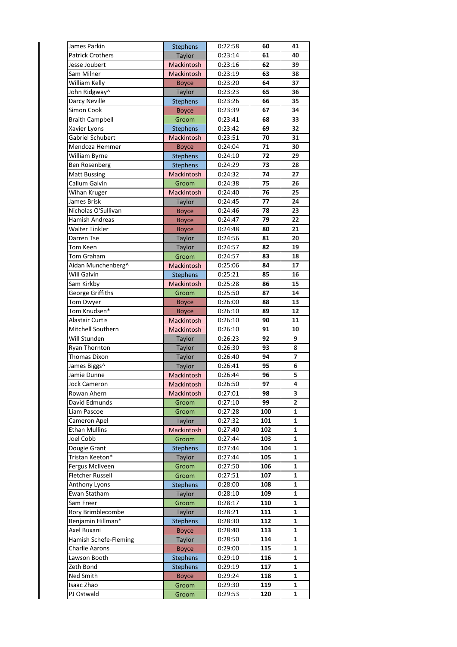| James Parkin            | <b>Stephens</b>   | 0:22:58 | 60  | 41 |
|-------------------------|-------------------|---------|-----|----|
| <b>Patrick Crothers</b> | Taylor            | 0:23:14 | 61  | 40 |
| Jesse Joubert           | <b>Mackintosh</b> | 0:23:16 | 62  | 39 |
|                         |                   |         |     |    |
| Sam Milner              | Mackintosh        | 0:23:19 | 63  | 38 |
| William Kelly           | <b>Boyce</b>      | 0:23:20 | 64  | 37 |
| John Ridgway^           | Taylor            | 0:23:23 | 65  | 36 |
| Darcy Neville           | <b>Stephens</b>   | 0:23:26 | 66  | 35 |
| Simon Cook              | <b>Boyce</b>      | 0:23:39 | 67  | 34 |
| <b>Braith Campbell</b>  | Groom             | 0:23:41 | 68  | 33 |
| Xavier Lyons            | <b>Stephens</b>   | 0:23:42 | 69  | 32 |
| Gabriel Schubert        | Mackintosh        | 0:23:51 | 70  | 31 |
| Mendoza Hemmer          | <b>Boyce</b>      | 0:24:04 | 71  | 30 |
| William Byrne           | <b>Stephens</b>   | 0:24:10 | 72  | 29 |
| <b>Ben Rosenberg</b>    | Stephens          | 0:24:29 | 73  | 28 |
| <b>Matt Bussing</b>     | Mackintosh        | 0:24:32 | 74  | 27 |
| Callum Galvin           | Groom             | 0:24:38 | 75  | 26 |
| Wihan Kruger            | <b>Mackintosh</b> | 0:24:40 | 76  | 25 |
| James Brisk             | Taylor            | 0:24:45 | 77  | 24 |
| Nicholas O'Sullivan     |                   |         | 78  | 23 |
|                         | <b>Boyce</b>      | 0:24:46 |     |    |
| <b>Hamish Andreas</b>   | <b>Boyce</b>      | 0:24:47 | 79  | 22 |
| <b>Walter Tinkler</b>   | <b>Boyce</b>      | 0:24:48 | 80  | 21 |
| Darren Tse              | <b>Taylor</b>     | 0:24:56 | 81  | 20 |
| Tom Keen                | Taylor            | 0:24:57 | 82  | 19 |
| Tom Graham              | Groom             | 0:24:57 | 83  | 18 |
| Aidan Munchenberg^      | Mackintosh        | 0:25:06 | 84  | 17 |
| Will Galvin             | <b>Stephens</b>   | 0:25:21 | 85  | 16 |
| Sam Kirkby              | Mackintosh        | 0:25:28 | 86  | 15 |
| George Griffiths        | Groom             | 0:25:50 | 87  | 14 |
| <b>Tom Dwyer</b>        | <b>Boyce</b>      | 0:26:00 | 88  | 13 |
| Tom Knudsen*            | <b>Boyce</b>      | 0:26:10 | 89  | 12 |
| <b>Alastair Curtis</b>  | Mackintosh        | 0:26:10 | 90  | 11 |
| Mitchell Southern       | Mackintosh        | 0:26:10 | 91  | 10 |
| Will Stunden            | Taylor            | 0:26:23 | 92  | 9  |
| Ryan Thornton           | Taylor            | 0:26:30 | 93  | 8  |
| Thomas Dixon            | Taylor            | 0:26:40 | 94  | 7  |
| James Biggs^            | Taylor            | 0:26:41 | 95  | 6  |
| Jamie Dunne             | Mackintosh        | 0:26:44 | 96  | 5  |
| <b>Jock Cameron</b>     | Mackintosh        | 0:26:50 | 97  | 4  |
| Rowan Ahern             |                   |         | 98  | 3  |
| David Edmunds           | Mackintosh        | 0:27:01 |     |    |
|                         | Groom             | 0:27:10 | 99  | 2  |
| Liam Pascoe             | Groom             | 0:27:28 | 100 | 1  |
| Cameron Apel            | Taylor            | 0:27:32 | 101 | 1  |
| <b>Ethan Mullins</b>    | Mackintosh        | 0:27:40 | 102 | 1  |
| Joel Cobb               | Groom             | 0:27:44 | 103 | 1  |
| Dougie Grant            | <b>Stephens</b>   | 0:27:44 | 104 | 1  |
| Tristan Keeton*         | Taylor            | 0:27:44 | 105 | 1  |
| Fergus McIlveen         | Groom             | 0:27:50 | 106 | 1  |
| <b>Fletcher Russell</b> | Groom             | 0:27:51 | 107 | 1  |
| Anthony Lyons           | <b>Stephens</b>   | 0:28:00 | 108 | 1  |
| Ewan Statham            | Taylor            | 0:28:10 | 109 | 1  |
| Sam Freer               | Groom             | 0:28:17 | 110 | 1  |
| Rory Brimblecombe       | Taylor            | 0:28:21 | 111 | 1  |
| Benjamin Hillman*       | <b>Stephens</b>   | 0:28:30 | 112 | 1  |
| Axel Buxani             | <b>Boyce</b>      | 0:28:40 | 113 | 1  |
| Hamish Schefe-Fleming   | <b>Taylor</b>     | 0:28:50 | 114 | 1  |
| Charlie Aarons          | <b>Boyce</b>      | 0:29:00 | 115 | 1  |
| Lawson Booth            | <b>Stephens</b>   | 0:29:10 | 116 | 1  |
| Zeth Bond               | <b>Stephens</b>   | 0:29:19 | 117 | 1  |
| Ned Smith               |                   |         |     |    |
|                         | <b>Boyce</b>      | 0:29:24 | 118 | 1  |
| Isaac Zhao              | Groom             | 0:29:30 | 119 | 1  |
| PJ Ostwald              | Groom             | 0:29:53 | 120 | 1  |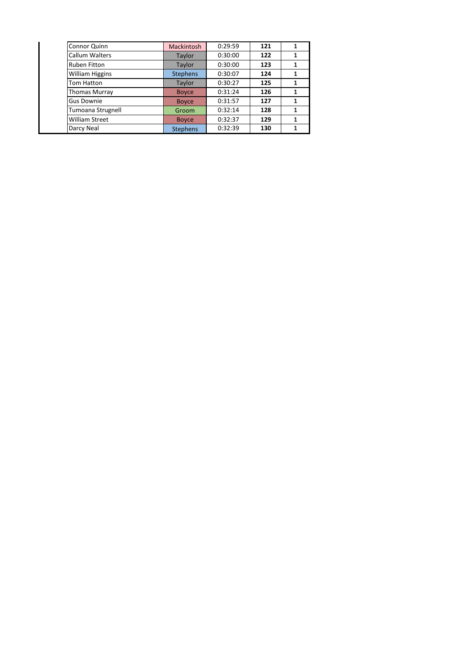| Connor Quinn           | <b>Mackintosh</b> | 0:29:59 | 121 |   |
|------------------------|-------------------|---------|-----|---|
| <b>Callum Walters</b>  | Taylor            | 0:30:00 | 122 | 1 |
| <b>Ruben Fitton</b>    | Taylor            | 0:30:00 | 123 |   |
| <b>William Higgins</b> | <b>Stephens</b>   | 0:30:07 | 124 |   |
| Tom Hatton             | Taylor            | 0:30:27 | 125 |   |
| <b>Thomas Murray</b>   | <b>Boyce</b>      | 0:31:24 | 126 |   |
| Gus Downie             | <b>Boyce</b>      | 0:31:57 | 127 |   |
| Tumoana Strugnell      | Groom             | 0:32:14 | 128 |   |
| <b>William Street</b>  | <b>Boyce</b>      | 0:32:37 | 129 |   |
| Darcy Neal             | <b>Stephens</b>   | 0:32:39 | 130 |   |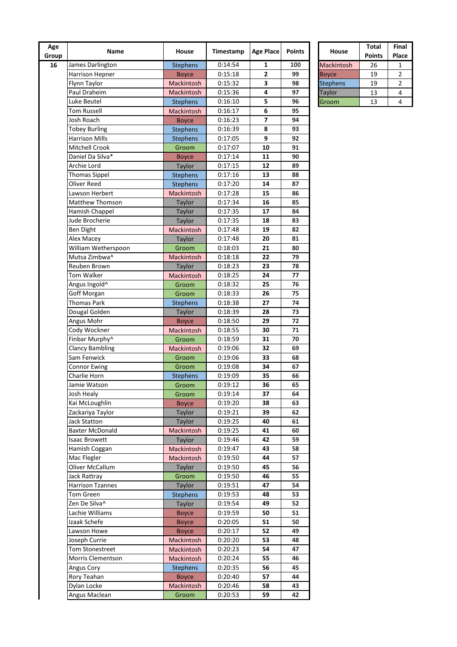| Age<br>Group | Name                       | House             | Timestamp | <b>Age Place</b> | <b>Points</b> | House           | <b>Total</b><br><b>Points</b> | Fin<br>Pla              |
|--------------|----------------------------|-------------------|-----------|------------------|---------------|-----------------|-------------------------------|-------------------------|
| 16           | James Darlington           | <b>Stephens</b>   | 0:14:54   | 1                | 100           | Mackintosh      | 26                            | 1                       |
|              | Harrison Hepner            | <b>Boyce</b>      | 0:15:18   | $\mathbf{2}$     | 99            | <b>Boyce</b>    | 19                            | $\overline{\mathbf{c}}$ |
|              | Flynn Taylor               | Mackintosh        | 0:15:32   | 3                | 98            | <b>Stephens</b> | 19                            | 2                       |
|              | Paul Draheim               | Mackintosh        | 0:15:36   | 4                | 97            | Taylor          | 13                            | 4                       |
|              | Luke Beutel                | <b>Stephens</b>   | 0:16:10   | 5                | 96            | Groom           | 13                            | 4                       |
|              | Tom Russell                | Mackintosh        | 0:16:17   | 6                | 95            |                 |                               |                         |
|              | Josh Roach                 | <b>Boyce</b>      | 0:16:23   | 7                | 94            |                 |                               |                         |
|              | <b>Tobey Burling</b>       | <b>Stephens</b>   | 0:16:39   | 8                | 93            |                 |                               |                         |
|              | <b>Harrison Mills</b>      | <b>Stephens</b>   | 0:17:05   | 9                | 92            |                 |                               |                         |
|              | Mitchell Crook             | Groom             | 0:17:07   | 10               | 91            |                 |                               |                         |
|              | Daniel Da Silva*           | <b>Boyce</b>      | 0:17:14   | 11               | 90            |                 |                               |                         |
|              | Archie Lord                | Taylor            | 0:17:15   | 12               | 89            |                 |                               |                         |
|              | <b>Thomas Sippel</b>       | <b>Stephens</b>   | 0:17:16   | 13               | 88            |                 |                               |                         |
|              | Oliver Reed                | <b>Stephens</b>   | 0:17:20   | 14               | 87            |                 |                               |                         |
|              | Lawson Herbert             | Mackintosh        | 0:17:28   | 15               | 86            |                 |                               |                         |
|              | <b>Matthew Thomson</b>     | Taylor            | 0:17:34   | 16               | 85            |                 |                               |                         |
|              | Hamish Chappel             | Taylor            | 0:17:35   | 17               | 84            |                 |                               |                         |
|              | Jude Brocherie             | Taylor            | 0:17:35   | 18               | 83            |                 |                               |                         |
|              | Ben Dight                  | Mackintosh        | 0:17:48   | 19               | 82            |                 |                               |                         |
|              | Alex Macey                 | Taylor            | 0:17:48   | 20               | 81            |                 |                               |                         |
|              | William Wetherspoon        | Groom             | 0:18:03   | 21               | 80            |                 |                               |                         |
|              | Mutsa Zimbwa^              | <b>Mackintosh</b> | 0:18:18   | 22               | 79            |                 |                               |                         |
|              | Reuben Brown               | Taylor            | 0:18:23   | 23               | 78            |                 |                               |                         |
|              | Tom Walker                 | Mackintosh        | 0:18:25   | 24               | 77            |                 |                               |                         |
|              | Angus Ingold^              | Groom             | 0:18:32   | 25               | 76            |                 |                               |                         |
|              | Goff Morgan                | Groom             | 0:18:33   | 26               | 75            |                 |                               |                         |
|              | <b>Thomas Park</b>         | <b>Stephens</b>   | 0:18:38   | 27               | 74            |                 |                               |                         |
|              | Dougal Golden              | Taylor            | 0:18:39   | 28               | 73            |                 |                               |                         |
|              | Angus Mohr                 | <b>Boyce</b>      | 0:18:50   | 29               | 72            |                 |                               |                         |
|              | Cody Wockner               | Mackintosh        | 0:18:55   | 30               | 71            |                 |                               |                         |
|              | Finbar Murphy <sup>^</sup> | Groom             | 0:18:59   | 31               | 70            |                 |                               |                         |
|              | <b>Clancy Bambling</b>     | Mackintosh        | 0:19:06   | 32               | 69            |                 |                               |                         |
|              | Sam Fenwick                | Groom             | 0:19:06   | 33               | 68            |                 |                               |                         |
|              | <b>Connor Ewing</b>        | Groom             | 0:19:08   | 34               | 67            |                 |                               |                         |
|              | Charlie Horn               | <b>Stephens</b>   | 0:19:09   | 35               | 66            |                 |                               |                         |
|              | Jamie Watson               | Groom             | 0:19:12   | 36               | 65            |                 |                               |                         |
|              | Josh Healy                 | Groom             | 0:19:14   | 37               | 64            |                 |                               |                         |
|              | Kai McLoughlin             | <b>Boyce</b>      | 0:19:20   | 38               | 63            |                 |                               |                         |
|              | Zackariya Taylor           | Taylor            | 0:19:21   | 39               | 62            |                 |                               |                         |
|              | <b>Jack Statton</b>        | Taylor            | 0:19:25   | 40               | 61            |                 |                               |                         |
|              | <b>Baxter McDonald</b>     | Mackintosh        | 0:19:25   | 41               | 60            |                 |                               |                         |
|              | <b>Isaac Browett</b>       | Taylor            | 0:19:46   | 42               | 59            |                 |                               |                         |
|              | Hamish Coggan              | Mackintosh        | 0:19:47   | 43               | 58            |                 |                               |                         |
|              | Mac Flegler                | Mackintosh        | 0:19:50   | 44               | 57            |                 |                               |                         |
|              | Oliver McCallum            | Taylor            | 0:19:50   | 45               | 56            |                 |                               |                         |
|              | Jack Rattray               | Groom             | 0:19:50   | 46               | 55            |                 |                               |                         |
|              | <b>Harrison Tzannes</b>    | Taylor            | 0:19:51   | 47               | 54            |                 |                               |                         |
|              | <b>Tom Green</b>           | Stephens          | 0:19:53   | 48               | 53            |                 |                               |                         |
|              | Zen De Silva^              | Taylor            | 0:19:54   | 49               | 52            |                 |                               |                         |
|              | Lachie Williams            | <b>Boyce</b>      | 0:19:59   | 50               | 51            |                 |                               |                         |
|              | Izaak Schefe               | <b>Boyce</b>      | 0:20:05   | 51               | 50            |                 |                               |                         |
|              | Lawson Howe                | <b>Boyce</b>      | 0:20:17   | 52               | 49            |                 |                               |                         |
|              | Joseph Currie              | Mackintosh        | 0:20:20   | 53               | 48            |                 |                               |                         |
|              | <b>Tom Stonestreet</b>     | Mackintosh        | 0:20:23   | 54               | 47            |                 |                               |                         |
|              | Morris Clementson          | Mackintosh        | 0:20:24   | 55               | 46            |                 |                               |                         |
|              | Angus Cory                 | <b>Stephens</b>   | 0:20:35   | 56               | 45            |                 |                               |                         |
|              | Rory Teahan                | <b>Boyce</b>      | 0:20:40   | 57               | 44            |                 |                               |                         |
|              | Dylan Locke                | Mackintosh        | 0:20:46   | 58               | 43            |                 |                               |                         |
|              | Angus Maclean              | Groom             | 0:20:53   | 59               | 42            |                 |                               |                         |

|                 | <b>Total</b>  | Final |
|-----------------|---------------|-------|
| <b>House</b>    | <b>Points</b> | Place |
| Mackintosh      | 26            | 1     |
| <b>Boyce</b>    | 19            | 2     |
| <b>Stephens</b> | 19            | 2     |
| Taylor          | 13            | 4     |
| Groom           | 13            |       |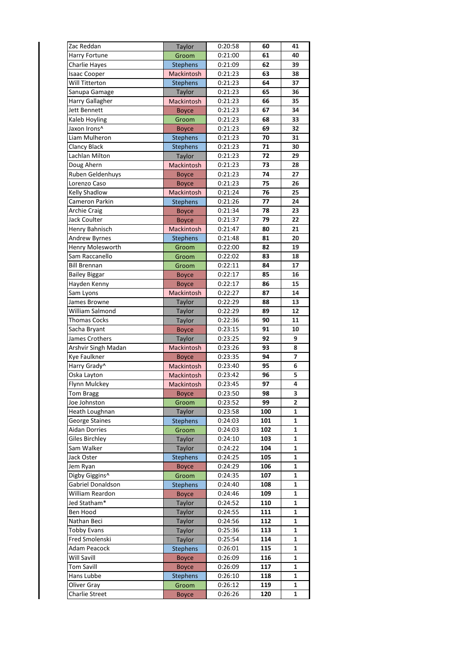| Zac Reddan               | Taylor          | 0:20:58 | 60  | 41 |
|--------------------------|-----------------|---------|-----|----|
| Harry Fortune            | Groom           | 0:21:00 | 61  | 40 |
| Charlie Hayes            | <b>Stephens</b> | 0:21:09 | 62  | 39 |
| <b>Isaac Cooper</b>      | Mackintosh      | 0:21:23 | 63  | 38 |
| Will Titterton           | <b>Stephens</b> | 0:21:23 | 64  | 37 |
| Sanupa Gamage            | Taylor          | 0:21:23 | 65  | 36 |
| Harry Gallagher          | Mackintosh      | 0:21:23 | 66  | 35 |
| <b>Jett Bennett</b>      | <b>Boyce</b>    | 0:21:23 | 67  | 34 |
| Kaleb Hoyling            | Groom           | 0:21:23 | 68  | 33 |
| Jaxon Irons^             | <b>Boyce</b>    | 0:21:23 | 69  | 32 |
| Liam Mulheron            | <b>Stephens</b> | 0:21:23 | 70  | 31 |
| <b>Clancy Black</b>      | <b>Stephens</b> | 0:21:23 | 71  | 30 |
| Lachlan Milton           | Taylor          | 0:21:23 | 72  | 29 |
| Doug Ahern               | Mackintosh      | 0:21:23 | 73  | 28 |
| Ruben Geldenhuys         |                 | 0:21:23 | 74  | 27 |
|                          | <b>Boyce</b>    |         |     |    |
| Lorenzo Caso             | <b>Boyce</b>    | 0:21:23 | 75  | 26 |
| Kelly Shadlow            | Mackintosh      | 0:21:24 | 76  | 25 |
| Cameron Parkin           | <b>Stephens</b> | 0:21:26 | 77  | 24 |
| <b>Archie Craig</b>      | <b>Boyce</b>    | 0:21:34 | 78  | 23 |
| <b>Jack Coulter</b>      | <b>Boyce</b>    | 0:21:37 | 79  | 22 |
| Henry Bahnisch           | Mackintosh      | 0:21:47 | 80  | 21 |
| Andrew Byrnes            | <b>Stephens</b> | 0:21:48 | 81  | 20 |
| Henry Molesworth         | Groom           | 0:22:00 | 82  | 19 |
| Sam Raccanello           | Groom           | 0:22:02 | 83  | 18 |
| <b>Bill Brennan</b>      | Groom           | 0:22:11 | 84  | 17 |
| <b>Bailey Biggar</b>     | <b>Boyce</b>    | 0:22:17 | 85  | 16 |
| Hayden Kenny             | <b>Boyce</b>    | 0:22:17 | 86  | 15 |
| Sam Lyons                | Mackintosh      | 0:22:27 | 87  | 14 |
| James Browne             | Taylor          | 0:22:29 | 88  | 13 |
| William Salmond          | Taylor          | 0:22:29 | 89  | 12 |
| Thomas Cocks             | Taylor          | 0:22:36 | 90  | 11 |
| Sacha Bryant             | <b>Boyce</b>    | 0:23:15 | 91  | 10 |
| James Crothers           | Taylor          | 0:23:25 | 92  | 9  |
| Arshvir Singh Madan      | Mackintosh      | 0:23:26 | 93  | 8  |
| Kye Faulkner             |                 | 0:23:35 | 94  | 7  |
| Harry Grady <sup>^</sup> | <b>Boyce</b>    |         | 95  | 6  |
|                          | Mackintosh      | 0:23:40 |     |    |
| Oska Layton              | Mackintosh      | 0:23:42 | 96  | 5  |
| Flynn Mulckey            | Mackintosh      | 0:23:45 | 97  | 4  |
| Tom Bragg                | <b>Boyce</b>    | 0:23:50 | 98  | 3  |
| Joe Johnston             | Groom           | 0:23:52 | 99  | 2  |
| Heath Loughnan           | <b>Taylor</b>   | 0:23:58 | 100 | 1  |
| George Staines           | Stephens        | 0:24:03 | 101 | 1  |
| <b>Aidan Dorries</b>     | Groom           | 0:24:03 | 102 | 1  |
| <b>Giles Birchley</b>    | Taylor          | 0:24:10 | 103 | 1  |
| Sam Walker               | Taylor          | 0:24:22 | 104 | 1  |
| Jack Oster               | <b>Stephens</b> | 0:24:25 | 105 | 1  |
| Jem Ryan                 | <b>Boyce</b>    | 0:24:29 | 106 | 1  |
| Digby Giggins^           | Groom           | 0:24:35 | 107 | 1  |
| Gabriel Donaldson        | <b>Stephens</b> | 0:24:40 | 108 | 1  |
| William Reardon          | <b>Boyce</b>    | 0:24:46 | 109 | 1  |
| Jed Statham*             | Taylor          | 0:24:52 | 110 | 1  |
| Ben Hood                 | Taylor          | 0:24:55 | 111 | 1  |
| Nathan Beci              | Taylor          | 0:24:56 | 112 | 1  |
| <b>Tobby Evans</b>       | Taylor          | 0:25:36 | 113 | 1  |
| Fred Smolenski           | Taylor          | 0:25:54 | 114 | 1  |
| Adam Peacock             |                 |         | 115 | 1  |
|                          | <b>Stephens</b> | 0:26:01 |     |    |
| Will Savill              | <b>Boyce</b>    | 0:26:09 | 116 | 1  |
| <b>Tom Savill</b>        | <b>Boyce</b>    | 0:26:09 | 117 | 1  |
| Hans Lubbe               | <b>Stephens</b> | 0:26:10 | 118 | 1  |
| Oliver Gray              | Groom           | 0:26:12 | 119 | 1  |
| Charlie Street           | <b>Boyce</b>    | 0:26:26 | 120 | 1  |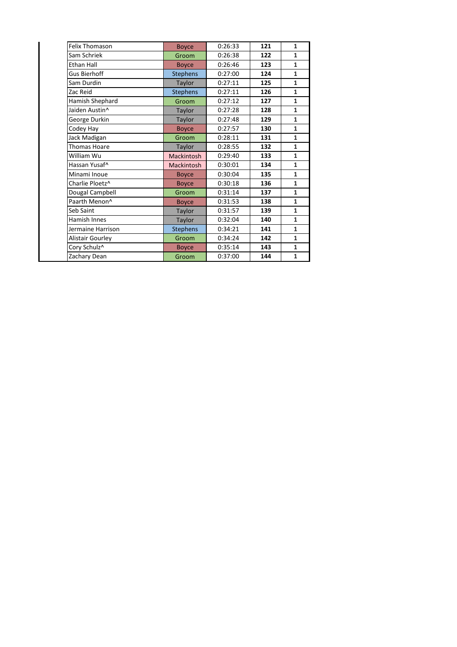| <b>Felix Thomason</b>     | <b>Boyce</b>      | 0:26:33 | 121 | $\mathbf{1}$ |
|---------------------------|-------------------|---------|-----|--------------|
| Sam Schriek               | Groom             | 0:26:38 | 122 | $\mathbf{1}$ |
| <b>Ethan Hall</b>         | <b>Boyce</b>      | 0:26:46 | 123 | $\mathbf{1}$ |
| Gus Bierhoff              | <b>Stephens</b>   | 0:27:00 | 124 | $\mathbf{1}$ |
| Sam Durdin                | Taylor            | 0:27:11 | 125 | $\mathbf{1}$ |
| Zac Reid                  | <b>Stephens</b>   | 0:27:11 | 126 | $\mathbf{1}$ |
| Hamish Shephard           | Groom             | 0:27:12 | 127 | $\mathbf{1}$ |
| Jaiden Austin^            | <b>Taylor</b>     | 0:27:28 | 128 | $\mathbf{1}$ |
| George Durkin             | <b>Taylor</b>     | 0:27:48 | 129 | $\mathbf{1}$ |
| Codey Hay                 | <b>Boyce</b>      | 0:27:57 | 130 | $\mathbf{1}$ |
| Jack Madigan              | Groom             | 0:28:11 | 131 | $\mathbf{1}$ |
| Thomas Hoare              | <b>Taylor</b>     | 0:28:55 | 132 | $\mathbf{1}$ |
| William Wu                | Mackintosh        | 0:29:40 | 133 | $\mathbf{1}$ |
| Hassan Yusaf^             | <b>Mackintosh</b> | 0:30:01 | 134 | $\mathbf{1}$ |
| Minami Inoue              | <b>Boyce</b>      | 0:30:04 | 135 | $\mathbf{1}$ |
| Charlie Ploetz^           | <b>Boyce</b>      | 0:30:18 | 136 | $\mathbf{1}$ |
| Dougal Campbell           | Groom             | 0:31:14 | 137 | $\mathbf{1}$ |
| Paarth Menon <sup>^</sup> | <b>Boyce</b>      | 0:31:53 | 138 | $\mathbf{1}$ |
| Seb Saint                 | <b>Taylor</b>     | 0:31:57 | 139 | $\mathbf{1}$ |
| Hamish Innes              | <b>Taylor</b>     | 0:32:04 | 140 | $\mathbf{1}$ |
| Jermaine Harrison         | <b>Stephens</b>   | 0:34:21 | 141 | $\mathbf{1}$ |
| Alistair Gourley          | Groom             | 0:34:24 | 142 | $\mathbf{1}$ |
| Cory Schulz^              | <b>Boyce</b>      | 0:35:14 | 143 | $\mathbf{1}$ |
| Zachary Dean              | Groom             | 0:37:00 | 144 | $\mathbf{1}$ |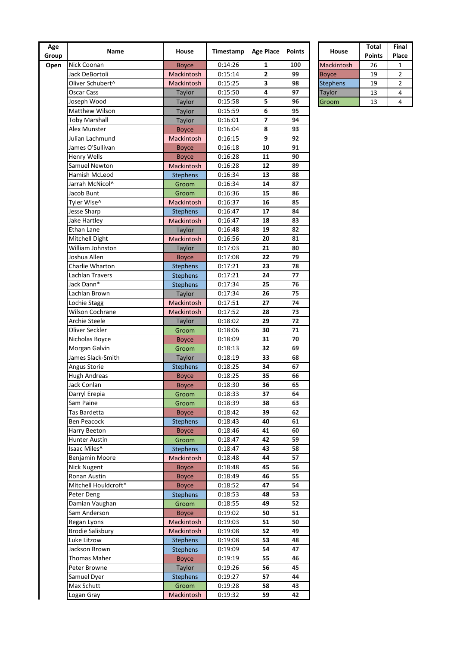| Age<br>Group | Name                      | House               | Timestamp          | <b>Age Place</b> | <b>Points</b> | House           | Total<br><b>Points</b> | Fin<br>Pla     |
|--------------|---------------------------|---------------------|--------------------|------------------|---------------|-----------------|------------------------|----------------|
| Open         | Nick Coonan               | <b>Boyce</b>        | 0:14:26            | 1                | 100           | Mackintosh      | 26                     | 1              |
|              | Jack DeBortoli            | Mackintosh          | 0:15:14            | 2                | 99            | <b>Boyce</b>    | 19                     | 2              |
|              | Oliver Schubert^          | Mackintosh          | 0:15:25            | 3                | 98            | <b>Stephens</b> | 19                     | $\overline{a}$ |
|              | Oscar Cass                | Taylor              | 0:15:50            | 4                | 97            | Taylor          | 13                     | 4              |
|              | Joseph Wood               | Taylor              | 0:15:58            | 5                | 96            | Groom           | 13                     | 4              |
|              | Matthew Wilson            | Taylor              | 0:15:59            | 6                | 95            |                 |                        |                |
|              | <b>Toby Marshall</b>      | Taylor              | 0:16:01            | 7                | 94            |                 |                        |                |
|              | Alex Munster              | <b>Boyce</b>        | 0:16:04            | 8                | 93            |                 |                        |                |
|              | Julian Lachmund           | Mackintosh          | 0:16:15            | 9                | 92            |                 |                        |                |
|              | James O'Sullivan          | <b>Boyce</b>        | 0:16:18            | 10               | 91            |                 |                        |                |
|              | Henry Wells               | <b>Boyce</b>        | 0:16:28            | 11               | 90            |                 |                        |                |
|              | Samuel Newton             | Mackintosh          | 0:16:28            | 12               | 89            |                 |                        |                |
|              | Hamish McLeod             | <b>Stephens</b>     | 0:16:34            | 13               | 88            |                 |                        |                |
|              | Jarrah McNicol^           | Groom               | 0:16:34            | 14               | 87            |                 |                        |                |
|              | Jacob Bunt                | Groom               | 0:16:36            | 15               | 86            |                 |                        |                |
|              | Tyler Wise^               | Mackintosh          | 0:16:37            | 16               | 85            |                 |                        |                |
|              | Jesse Sharp               | <b>Stephens</b>     | 0:16:47            | 17               | 84            |                 |                        |                |
|              | Jake Hartley              | Mackintosh          | 0:16:47            | 18               | 83            |                 |                        |                |
|              | Ethan Lane                | Taylor              | 0:16:48            | 19               | 82            |                 |                        |                |
|              | Mitchell Dight            | Mackintosh          | 0:16:56            | 20               | 81            |                 |                        |                |
|              | William Johnston          | Taylor              | 0:17:03            | 21               | 80            |                 |                        |                |
|              | Joshua Allen              | <b>Boyce</b>        | 0:17:08            | 22               | 79            |                 |                        |                |
|              | Charlie Wharton           | <b>Stephens</b>     | 0:17:21            | 23               | 78            |                 |                        |                |
|              | Lachlan Travers           | <b>Stephens</b>     | 0:17:21            | 24               | 77            |                 |                        |                |
|              | Jack Dann*                | <b>Stephens</b>     | 0:17:34            | 25               | 76            |                 |                        |                |
|              | Lachlan Brown             | Taylor              | 0:17:34            | 26               | 75            |                 |                        |                |
|              | Lochie Stagg              | Mackintosh          | 0:17:51            | 27               | 74            |                 |                        |                |
|              | Wilson Cochrane           | Mackintosh          | 0:17:52            | 28               | 73            |                 |                        |                |
|              | Archie Steele             | Taylor              | 0:18:02            | 29               | 72            |                 |                        |                |
|              | Oliver Seckler            | Groom               | 0:18:06            | 30               | 71            |                 |                        |                |
|              | Nicholas Boyce            | <b>Boyce</b>        | 0:18:09            | 31               | 70            |                 |                        |                |
|              | Morgan Galvin             | Groom               | 0:18:13            | 32               | 69            |                 |                        |                |
|              | James Slack-Smith         | <b>Taylor</b>       | 0:18:19            | 33               | 68            |                 |                        |                |
|              | Angus Storie              | <b>Stephens</b>     | 0:18:25            | 34               | 67            |                 |                        |                |
|              | <b>Hugh Andreas</b>       | <b>Boyce</b>        | 0:18:25            | 35               | 66            |                 |                        |                |
|              | Jack Conlan               | <b>Boyce</b>        | 0:18:30            | 36               | 65            |                 |                        |                |
|              | Darryl Erepia             | Groom               | 0:18:33            | 37               | 64            |                 |                        |                |
|              | Sam Paine                 | Groom               | 0:18:39            | 38               | 63            |                 |                        |                |
|              | Tas Bardetta              | <b>Boyce</b>        | 0:18:42            | 39               | 62            |                 |                        |                |
|              | <b>Ben Peacock</b>        | <b>Stephens</b>     | 0:18:43            | 40               | 61            |                 |                        |                |
|              | Harry Beeton              | <b>Boyce</b>        | 0:18:46            | 41               | 60            |                 |                        |                |
|              | Hunter Austin             | Groom               | 0:18:47            | 42               | 59            |                 |                        |                |
|              | Isaac Miles^              | <b>Stephens</b>     | 0:18:47            | 43               | 58            |                 |                        |                |
|              | Benjamin Moore            | Mackintosh          | 0:18:48            | 44               | 57            |                 |                        |                |
|              | <b>Nick Nugent</b>        | <b>Boyce</b>        | 0:18:48            | 45               | 56            |                 |                        |                |
|              | Ronan Austin              | <b>Boyce</b>        | 0:18:49            | 46               | 55            |                 |                        |                |
|              | Mitchell Houldcroft*      | <b>Boyce</b>        | 0:18:52            | 47               | 54            |                 |                        |                |
|              | Peter Deng                | <b>Stephens</b>     | 0:18:53            | 48               | 53            |                 |                        |                |
|              | Damian Vaughan            | Groom               | 0:18:55            | 49               | 52            |                 |                        |                |
|              | Sam Anderson              | <b>Boyce</b>        | 0:19:02            | 50               | 51            |                 |                        |                |
|              | Regan Lyons               | Mackintosh          | 0:19:03            | 51               | 50            |                 |                        |                |
|              | <b>Brodie Salisbury</b>   | Mackintosh          | 0:19:08            | 52               | 49            |                 |                        |                |
|              | Luke Litzow               | <b>Stephens</b>     | 0:19:08            | 53               | 48            |                 |                        |                |
|              | Jackson Brown             | <b>Stephens</b>     | 0:19:09            | 54               | 47            |                 |                        |                |
|              | Thomas Maher              | <b>Boyce</b>        | 0:19:19            | 55               | 46            |                 |                        |                |
|              | Peter Browne              | Taylor              | 0:19:26            | 56               | 45            |                 |                        |                |
|              | Samuel Dyer<br>Max Schutt | <b>Stephens</b>     | 0:19:27            | 57               | 44            |                 |                        |                |
|              | Logan Gray                | Groom<br>Mackintosh | 0:19:28<br>0:19:32 | 58<br>59         | 43<br>42      |                 |                        |                |
|              |                           |                     |                    |                  |               |                 |                        |                |

|                   | <b>Total</b>  | Final |
|-------------------|---------------|-------|
| <b>House</b>      | <b>Points</b> | Place |
| <b>Mackintosh</b> | 26            |       |
| <b>Boyce</b>      | 19            | 2     |
| <b>Stephens</b>   | 19            | 2     |
| <b>Taylor</b>     | 13            | 4     |
| Groom             | 13            |       |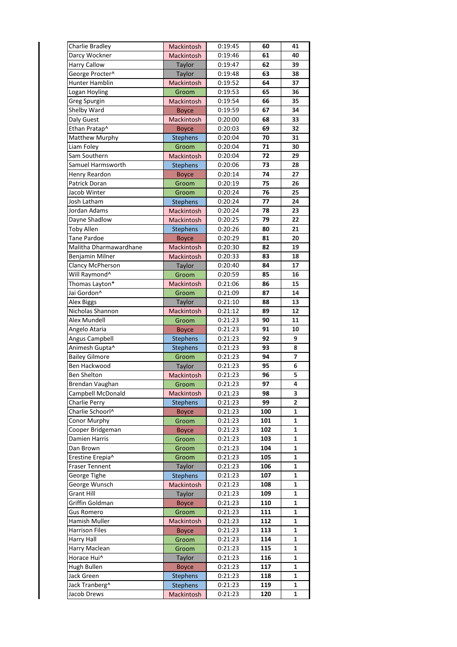| Charlie Bradley                       | <b>Mackintosh</b>         | 0:19:45 | 60  | 41 |
|---------------------------------------|---------------------------|---------|-----|----|
| Darcy Wockner                         | Mackintosh                | 0:19:46 | 61  | 40 |
| <b>Harry Callow</b>                   | Taylor                    | 0:19:47 | 62  | 39 |
| George Procter^                       | Taylor                    | 0:19:48 | 63  | 38 |
| Hunter Hamblin                        | Mackintosh                | 0:19:52 | 64  | 37 |
| Logan Hoyling                         | Groom                     | 0:19:53 | 65  | 36 |
| Greg Spurgin                          | Mackintosh                | 0:19:54 | 66  | 35 |
| Shelby Ward                           | <b>Boyce</b>              | 0:19:59 | 67  | 34 |
| Daly Guest                            | <b>Mackintosh</b>         | 0:20:00 | 68  | 33 |
| Ethan Pratap^                         | <b>Boyce</b>              | 0:20:03 | 69  | 32 |
| Matthew Murphy                        | <b>Stephens</b>           | 0:20:04 | 70  | 31 |
|                                       |                           | 0:20:04 | 71  | 30 |
| Liam Foley                            | Groom                     |         |     |    |
| Sam Southern                          | Mackintosh                | 0:20:04 | 72  | 29 |
| Samuel Harmsworth                     | <b>Stephens</b>           | 0:20:06 | 73  | 28 |
| Henry Reardon                         | <b>Boyce</b>              | 0:20:14 | 74  | 27 |
| Patrick Doran                         | Groom                     | 0:20:19 | 75  | 26 |
| Jacob Winter                          | Groom                     | 0:20:24 | 76  | 25 |
| <b>Josh Latham</b>                    | Stephens                  | 0:20:24 | 77  | 24 |
| Jordan Adams                          | <b>Mackintosh</b>         | 0:20:24 | 78  | 23 |
| Dayne Shadlow                         | Mackintosh                | 0:20:25 | 79  | 22 |
| <b>Toby Allen</b>                     | <b>Stephens</b>           | 0:20:26 | 80  | 21 |
| <b>Tane Pardoe</b>                    | <b>Boyce</b>              | 0:20:29 | 81  | 20 |
| Malitha Dharmawardhane                | Mackintosh                | 0:20:30 | 82  | 19 |
| Benjamin Milner                       | Mackintosh                | 0:20:33 | 83  | 18 |
| Clancy McPherson                      | Taylor                    | 0:20:40 | 84  | 17 |
| Will Raymond <sup>^</sup>             | Groom                     | 0:20:59 | 85  | 16 |
| Thomas Layton*                        | <b>Mackintosh</b>         | 0:21:06 | 86  | 15 |
| Jai Gordon^                           | Groom                     | 0:21:09 | 87  | 14 |
|                                       |                           |         |     | 13 |
| <b>Alex Biggs</b>                     | Taylor                    | 0:21:10 | 88  |    |
| Nicholas Shannon                      | Mackintosh                | 0:21:12 | 89  | 12 |
| Alex Mundell                          | Groom                     | 0:21:23 | 90  | 11 |
| Angelo Ataria                         | <b>Boyce</b>              | 0:21:23 | 91  | 10 |
| Angus Campbell                        | <b>Stephens</b>           | 0:21:23 | 92  | 9  |
| Animesh Gupta^                        | <b>Stephens</b>           | 0:21:23 | 93  | 8  |
| <b>Bailey Gilmore</b>                 | Groom                     | 0:21:23 | 94  | 7  |
| Ben Hackwood                          | Taylor                    | 0:21:23 | 95  | 6  |
| Ben Shelton                           | Mackintosh                | 0:21:23 | 96  | 5  |
| Brendan Vaughan                       | Groom                     | 0:21:23 | 97  | 4  |
| Campbell McDonald                     | Mackintosh                | 0:21:23 | 98  | 3  |
| Charlie Perry                         | <b>Stephens</b>           | 0:21:23 | 99  | 2  |
| Charlie Schoorl^                      | <b>Boyce</b>              | 0:21:23 | 100 | 1  |
| Conor Murphy                          | Groom                     | 0:21:23 | 101 | 1  |
| Cooper Bridgeman                      | <b>Boyce</b>              | 0:21:23 | 102 | 1  |
| Damien Harris                         | Groom                     | 0:21:23 | 103 | 1  |
| Dan Brown                             | Groom                     | 0:21:23 | 104 | 1  |
| Erestine Erepia^                      | Groom                     | 0:21:23 | 105 | 1  |
|                                       |                           | 0:21:23 | 106 | 1  |
| <b>Fraser Tennent</b><br>George Tighe | Taylor<br><b>Stephens</b> | 0:21:23 | 107 | 1  |
|                                       |                           |         |     |    |
| George Wunsch                         | Mackintosh                | 0:21:23 | 108 | 1  |
| <b>Grant Hill</b>                     | Taylor                    | 0:21:23 | 109 | 1  |
| Griffin Goldman                       | <b>Boyce</b>              | 0:21:23 | 110 | 1  |
| <b>Gus Romero</b>                     | Groom                     | 0:21:23 | 111 | 1  |
| Hamish Muller                         | Mackintosh                | 0:21:23 | 112 | 1  |
|                                       |                           |         | 113 |    |
| <b>Harrison Files</b>                 | <b>Boyce</b>              | 0:21:23 |     | 1  |
| Harry Hall                            | Groom                     | 0:21:23 | 114 | 1  |
| Harry Maclean                         | Groom                     | 0:21:23 | 115 | 1  |
| Horace Hui^                           | Taylor                    | 0:21:23 | 116 | 1  |
| Hugh Bullen                           | <b>Boyce</b>              | 0:21:23 | 117 | 1  |
| Jack Green                            | <b>Stephens</b>           | 0:21:23 | 118 | 1  |
| Jack Tranberg^                        | <b>Stephens</b>           | 0:21:23 | 119 | 1  |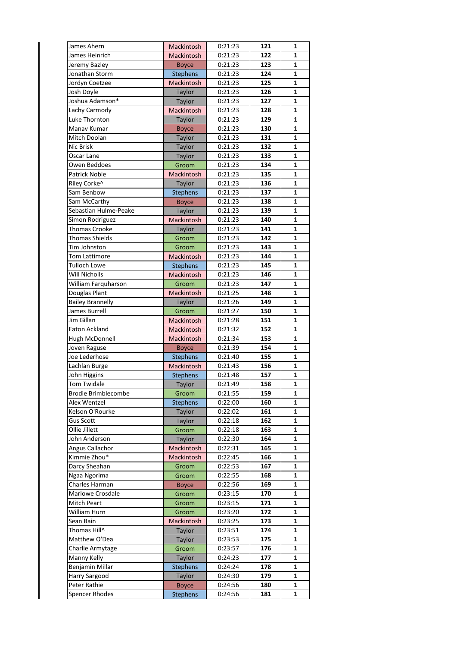| James Ahern                | Mackintosh        | 0:21:23 | 121 | 1            |
|----------------------------|-------------------|---------|-----|--------------|
| James Heinrich             | Mackintosh        | 0:21:23 | 122 | 1            |
| Jeremy Bazley              | <b>Boyce</b>      | 0:21:23 | 123 | 1            |
| Jonathan Storm             | <b>Stephens</b>   | 0:21:23 | 124 | 1            |
| Jordyn Coetzee             | Mackintosh        | 0:21:23 | 125 | 1            |
| Josh Doyle                 | Taylor            | 0:21:23 | 126 | 1            |
| Joshua Adamson*            | Taylor            | 0:21:23 | 127 | 1            |
| Lachy Carmody              | Mackintosh        | 0:21:23 | 128 | 1            |
| Luke Thornton              | Taylor            | 0:21:23 | 129 | 1            |
| Manav Kumar                | <b>Boyce</b>      | 0:21:23 | 130 | 1            |
| Mitch Doolan               | Taylor            | 0:21:23 | 131 | 1            |
| <b>Nic Brisk</b>           | Taylor            | 0:21:23 | 132 | 1            |
| Oscar Lane                 | Taylor            | 0:21:23 | 133 | 1            |
| Owen Beddoes               | Groom             | 0:21:23 | 134 | 1            |
| <b>Patrick Noble</b>       | Mackintosh        | 0:21:23 | 135 | 1            |
| Riley Corke^               | Taylor            | 0:21:23 | 136 | 1            |
| Sam Benbow                 | <b>Stephens</b>   | 0:21:23 | 137 | 1            |
| Sam McCarthy               | <b>Boyce</b>      | 0:21:23 | 138 | 1            |
| Sebastian Hulme-Peake      | Taylor            | 0:21:23 | 139 | 1            |
| Simon Rodriguez            | Mackintosh        | 0:21:23 | 140 | 1            |
| <b>Thomas Crooke</b>       | Taylor            | 0:21:23 | 141 | 1            |
| <b>Thomas Shields</b>      | Groom             | 0:21:23 | 142 | 1            |
|                            |                   |         |     |              |
| Tim Johnston               | Groom             | 0:21:23 | 143 | 1            |
| <b>Tom Lattimore</b>       | Mackintosh        | 0:21:23 | 144 | 1            |
| Tulloch Lowe               | <b>Stephens</b>   | 0:21:23 | 145 | 1            |
| Will Nicholls              | Mackintosh        | 0:21:23 | 146 | 1            |
| William Farguharson        | Groom             | 0:21:23 | 147 | 1            |
| Douglas Plant              | Mackintosh        | 0:21:25 | 148 | 1            |
| <b>Bailey Brannelly</b>    | Taylor            | 0:21:26 | 149 | 1            |
| James Burrell              | Groom             | 0:21:27 | 150 | 1            |
| Jim Gillan                 | Mackintosh        | 0:21:28 | 151 | 1            |
| Eaton Ackland              | Mackintosh        | 0:21:32 | 152 | 1            |
| Hugh McDonnell             | <b>Mackintosh</b> | 0:21:34 | 153 | 1            |
| Joven Raguse               | <b>Boyce</b>      | 0:21:39 | 154 | 1            |
| Joe Lederhose              | <b>Stephens</b>   | 0:21:40 | 155 | 1            |
| Lachlan Burge              | Mackintosh        | 0:21:43 | 156 | 1            |
| John Higgins               | <b>Stephens</b>   | 0:21:48 | 157 | $\mathbf 1$  |
| Tom Twidale                | Taylor            | 0:21:49 | 158 | $\mathbf{1}$ |
| <b>Brodie Brimblecombe</b> | Groom             | 0:21:55 | 159 | 1            |
| Alex Wentzel               | <b>Stephens</b>   | 0:22:00 | 160 | 1            |
| Kelson O'Rourke            | Taylor            | 0:22:02 | 161 | 1            |
| <b>Gus Scott</b>           | Taylor            | 0:22:18 | 162 | 1            |
| Ollie Jillett              | Groom             | 0:22:18 | 163 | 1            |
| John Anderson              | Taylor            | 0:22:30 | 164 | 1            |
| Angus Callachor            | Mackintosh        | 0:22:31 | 165 | 1            |
| Kimmie Zhou*               |                   |         | 166 |              |
| Darcy Sheahan              | Mackintosh        | 0:22:45 |     | 1            |
|                            | Groom             | 0:22:53 | 167 | 1            |
| Ngaa Ngorima               | Groom             | 0:22:55 | 168 | 1            |
| Charles Harman             | <b>Boyce</b>      | 0:22:56 | 169 | 1            |
| Marlowe Crosdale           | Groom             | 0:23:15 | 170 | 1            |
| Mitch Peart                | Groom             | 0:23:15 | 171 | 1            |
| William Hurn               | Groom             | 0:23:20 | 172 | 1            |
| Sean Bain                  | Mackintosh        | 0:23:25 | 173 | 1            |
| Thomas Hill^               | Taylor            | 0:23:51 | 174 | 1            |
| Matthew O'Dea              | Taylor            | 0:23:53 | 175 | 1            |
| Charlie Armytage           | Groom             | 0:23:57 | 176 | 1            |
| Manny Kelly                | Taylor            | 0:24:23 | 177 | 1            |
| Benjamin Millar            | <b>Stephens</b>   | 0:24:24 | 178 | 1            |
| Harry Sargood              | Taylor            | 0:24:30 | 179 | 1            |
| Peter Rathie               | <b>Boyce</b>      | 0:24:56 | 180 | 1            |
| Spencer Rhodes             | <b>Stephens</b>   | 0:24:56 | 181 | 1            |